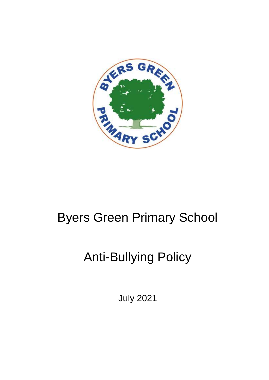

# Byers Green Primary School

# Anti-Bullying Policy

July 2021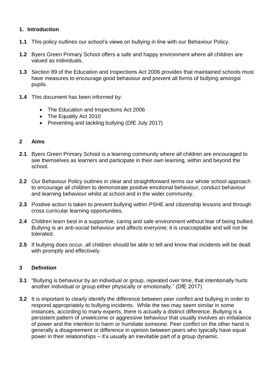# **1. Introduction**

- **1.1** This policy outlines our school's views on bullying in line with our Behaviour Policy.
- **1.2** Byers Green Primary School offers a safe and happy environment where all children are valued as individuals.
- **1.3** Section 89 of the Education and Inspections Act 2006 provides that maintained schools must have measures to encourage good behaviour and prevent all forms of bullying amongst pupils.
- **1.4** This document has been informed by:
	- The Education and Inspections Act 2006
	- The Equality Act 2010
	- Preventing and tackling bullying (DfE July 2017)

# **2 Aims**

- **2.1** Byers Green Primary School is a learning community where all children are encouraged to see themselves as learners and participate in their own learning, within and beyond the school.
- **2.2** Our Behaviour Policy outlines in clear and straightforward terms our whole school approach to encourage all children to demonstrate positive emotional behaviour, conduct behaviour and learning behaviour whilst at school and in the wider community.
- **2.3** Positive action is taken to prevent bullying within PSHE and citizenship lessons and through cross curricular learning opportunities.
- **2.4** Children learn best in a supportive, caring and safe environment without fear of being bullied. Bullying is an anti-social behaviour and affects everyone; it is unacceptable and will not be tolerated.
- **2.5** If bullying does occur, all children should be able to tell and know that incidents will be dealt with promptly and effectively.

# **3 Definition**

- **3.1** "Bullying is behaviour by an individual or group, repeated over time, that intentionally hurts another individual or group either physically or emotionally." (DfE 2017)
- **3.2** It is important to clearly identify the difference between peer conflict and bullying in order to respond appropriately to bullying incidents. While the two may seem similar in some instances, according to many experts, there is actually a distinct difference. Bullying is a persistent pattern of unwelcome or aggressive behaviour that usually involves an imbalance of power and the intention to harm or humiliate someone. Peer conflict on the other hand is generally a disagreement or difference in opinion between peers who typically have equal power in their relationships – it's usually an inevitable part of a group dynamic.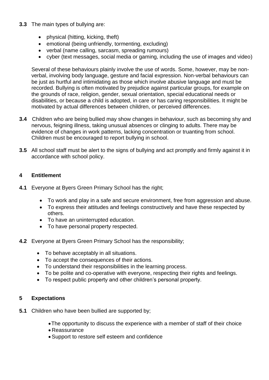# **3.3** The main types of bullying are:

- physical (hitting, kicking, theft)
- emotional (being unfriendly, tormenting, excluding)
- verbal (name calling, sarcasm, spreading rumours)
- cyber (text messages, social media or gaming, including the use of images and video)

Several of these behaviours plainly involve the use of words. Some, however, may be nonverbal, involving body language, gesture and facial expression. Non-verbal behaviours can be just as hurtful and intimidating as those which involve abusive language and must be recorded. Bullying is often motivated by prejudice against particular groups, for example on the grounds of race, religion, gender, sexual orientation, special educational needs or disabilities, or because a child is adopted, in care or has caring responsibilities. It might be motivated by actual differences between children, or perceived differences.

- **3.4** Children who are being bullied may show changes in behaviour, such as becoming shy and nervous, feigning illness, taking unusual absences or clinging to adults. There may be evidence of changes in work patterns, lacking concentration or truanting from school. Children must be encouraged to report bullying in school.
- **3.5** All school staff must be alert to the signs of bullying and act promptly and firmly against it in accordance with school policy.

# **4 Entitlement**

- **4.1** Everyone at Byers Green Primary School has the right;
	- To work and play in a safe and secure environment, free from aggression and abuse.
	- To express their attitudes and feelings constructively and have these respected by others.
	- To have an uninterrupted education.
	- To have personal property respected.
- **4.2** Everyone at Byers Green Primary School has the responsibility;
	- To behave acceptably in all situations.
	- To accept the consequences of their actions.
	- To understand their responsibilities in the learning process.
	- To be polite and co-operative with everyone, respecting their rights and feelings.
	- To respect public property and other children's personal property.

# **5 Expectations**

- **5.1** Children who have been bullied are supported by;
	- The opportunity to discuss the experience with a member of staff of their choice
	- Reassurance
	- Support to restore self esteem and confidence